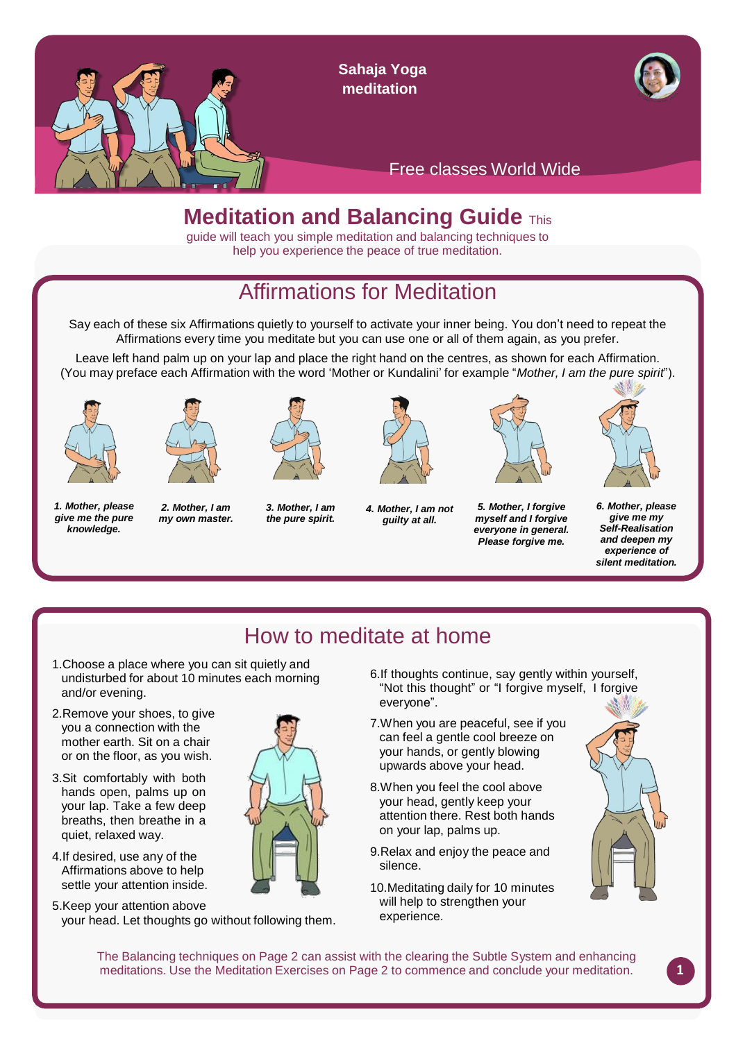

S **Sahaja Yoga meditation**



Free classes World Wide

# **Meditation and Balancing Guide** This

guide will teach you simple meditation and balancing techniques to help you experience the peace of true meditation.

# Affirmations for Meditation

Say each of these six Affirmations quietly to yourself to activate your inner being. You don't need to repeat the Affirmations every time you meditate but you can use one or all of them again, as you prefer.

Leave left hand palm up on your lap and place the right hand on the centres, as shown for each Affirmation. (You may preface each Affirmation with the word 'Mother or Kundalini' for example "*Mother, I am the pure spirit*").





*1. Mother, please give me the pure knowledge.*

*2. Mother, I am my own master.*



*3. Mother, I am the pure spirit.*



*4. Mother, I am not guilty at all.*



*5. Mother, I forgive myself and I forgive everyone in general. Please forgive me.*



*6. Mother, please give me my Self-Realisation and deepen my experience of silent meditation.*

# How to meditate at home

- 1.Choose a place where you can sit quietly and undisturbed for about 10 minutes each morning and/or evening.
- 2.Remove your shoes, to give you a connection with the mother earth. Sit on a chair or on the floor, as you wish.
- 3.Sit comfortably with both hands open, palms up on your lap. Take a few deep breaths, then breathe in a quiet, relaxed way.
- 4.If desired, use any of the Affirmations above to help settle your attention inside.
- 5.Keep your attention above your head. Let thoughts go without following them.
- 6.If thoughts continue, say gently within yourself, "Not this thought" or "I forgive myself, I forgive everyone".
- 7.When you are peaceful, see if you can feel a gentle cool breeze on your hands, or gently blowing upwards above your head.
- 8.When you feel the cool above your head, gently keep your attention there. Rest both hands on your lap, palms up.
- 9.Relax and enjoy the peace and silence.
- 10.Meditating daily for 10 minutes will help to strengthen your experience.



The Balancing techniques on Page 2 can assist with the clearing the Subtle System and enhancing meditations. Use the Meditation Exercises on Page 2 to commence and conclude your meditation. **1**